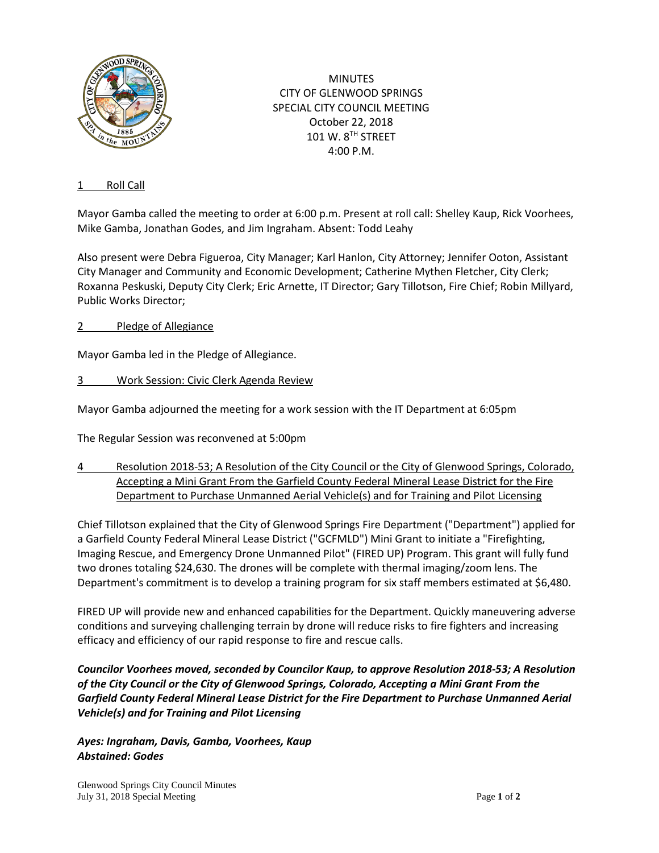

**MINUTES** CITY OF GLENWOOD SPRINGS SPECIAL CITY COUNCIL MEETING October 22, 2018 101 W. 8TH STREET 4:00 P.M.

### 1 Roll Call

Mayor Gamba called the meeting to order at 6:00 p.m. Present at roll call: Shelley Kaup, Rick Voorhees, Mike Gamba, Jonathan Godes, and Jim Ingraham. Absent: Todd Leahy

Also present were Debra Figueroa, City Manager; Karl Hanlon, City Attorney; Jennifer Ooton, Assistant City Manager and Community and Economic Development; Catherine Mythen Fletcher, City Clerk; Roxanna Peskuski, Deputy City Clerk; Eric Arnette, IT Director; Gary Tillotson, Fire Chief; Robin Millyard, Public Works Director;

## 2 Pledge of Allegiance

Mayor Gamba led in the Pledge of Allegiance.

## 3 Work Session: Civic Clerk Agenda Review

Mayor Gamba adjourned the meeting for a work session with the IT Department at 6:05pm

The Regular Session was reconvened at 5:00pm

4 Resolution 2018-53; A Resolution of the City Council or the City of Glenwood Springs, Colorado, Accepting a Mini Grant From the Garfield County Federal Mineral Lease District for the Fire Department to Purchase Unmanned Aerial Vehicle(s) and for Training and Pilot Licensing

Chief Tillotson explained that the City of Glenwood Springs Fire Department ("Department") applied for a Garfield County Federal Mineral Lease District ("GCFMLD") Mini Grant to initiate a "Firefighting, Imaging Rescue, and Emergency Drone Unmanned Pilot" (FIRED UP) Program. This grant will fully fund two drones totaling \$24,630. The drones will be complete with thermal imaging/zoom lens. The Department's commitment is to develop a training program for six staff members estimated at \$6,480.

FIRED UP will provide new and enhanced capabilities for the Department. Quickly maneuvering adverse conditions and surveying challenging terrain by drone will reduce risks to fire fighters and increasing efficacy and efficiency of our rapid response to fire and rescue calls.

*Councilor Voorhees moved, seconded by Councilor Kaup, to approve Resolution 2018-53; A Resolution of the City Council or the City of Glenwood Springs, Colorado, Accepting a Mini Grant From the Garfield County Federal Mineral Lease District for the Fire Department to Purchase Unmanned Aerial Vehicle(s) and for Training and Pilot Licensing*

*Ayes: Ingraham, Davis, Gamba, Voorhees, Kaup Abstained: Godes*